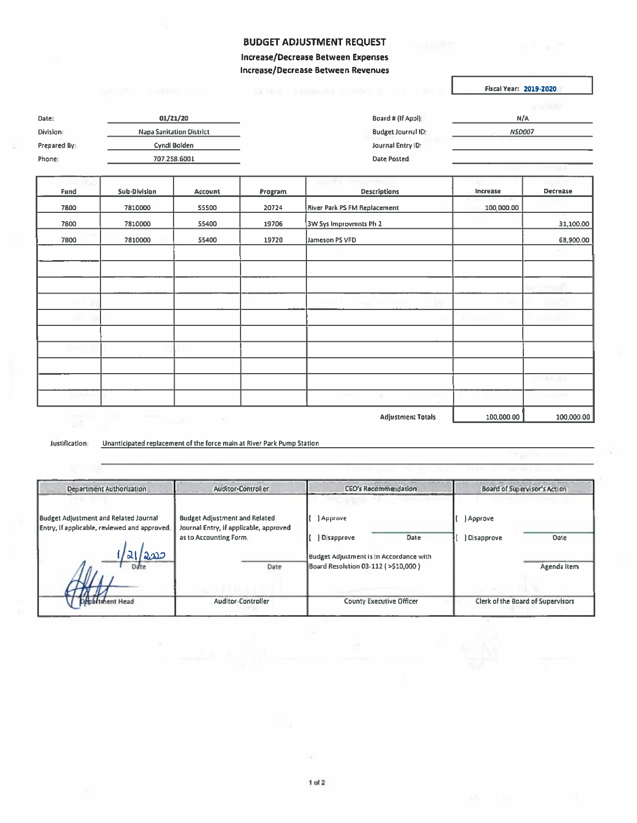## BUDGET ADJUSTMENT REQUEST

Increase/Decrease Between Expenses Increase/Decrease Between Revenues

Fiscal Year: 2019-2020

|              |                                 |                           | <b>BOOTHER</b> |
|--------------|---------------------------------|---------------------------|----------------|
| Date:        | 01/21/20                        | Board # (If Appl):        | N/A            |
| Division:    | <b>Napa Sanitation District</b> | <b>Budget Journal ID:</b> | <b>NSD007</b>  |
| Prepared By: | Cyndi Bolden                    | Journal Entry ID:         |                |
| Phone:       | 707 258 6001                    | Date Posted               |                |
|              |                                 |                           |                |

|      |                     |             |         | 33 E C 2<br><b>Service</b> And      |            |                 |
|------|---------------------|-------------|---------|-------------------------------------|------------|-----------------|
| Fund | <b>Sub-Division</b> | Account     | Program | <b>Descriptions</b>                 | Increase   | <b>Decrease</b> |
| 7800 | 7810000             | 55500       | 20724   | <b>River Park PS FM Replacement</b> | 100,000.00 |                 |
| 7800 | 7810000             | 55400       | 19706   | 3W Sys Improvmnts Ph 2              |            | 31,100.00       |
| 7800 | 7810000             | 55400       | 19720   | Jameson PS VFD                      |            | 68,900.00       |
|      |                     |             |         |                                     |            |                 |
|      |                     |             |         |                                     |            |                 |
|      |                     |             |         |                                     |            |                 |
|      |                     |             |         |                                     |            |                 |
|      |                     |             |         |                                     |            |                 |
|      |                     |             |         |                                     |            |                 |
|      |                     |             |         |                                     |            |                 |
|      |                     |             |         |                                     |            |                 |
|      |                     |             |         |                                     |            | 0.0010          |
|      |                     |             |         | Vii                                 |            |                 |
|      |                     | $\Delta\Xi$ |         | <b>Adjustment Totals</b>            | 100,000.00 | 100,000.00      |

Justification: Unanticipated replacement ofthe force main at River Park Pump Station

| <b>Department Authorization</b>                                                                | <b>Auditor-Control er</b>                                                                                        | <b>CEO's Recommendation</b>                                                                                            | Board of Supervisor's Action                   |  |
|------------------------------------------------------------------------------------------------|------------------------------------------------------------------------------------------------------------------|------------------------------------------------------------------------------------------------------------------------|------------------------------------------------|--|
| Budget Adjustment and Related Journal<br>Entry, if applicable, reviewed and approved.<br>2.230 | <b>Budget Adjustment and Related</b><br>Journal Entry, if applicable, approved<br>as to Accounting Form.<br>Date | Approve<br>Date<br>Disapprove<br><b>Budget Adjustment is In Accordance with</b><br>Board Resolution 03-112 (>\$10,000) | ) Approve<br>Disapprove<br>Date<br>Agenda Item |  |
| thent Head                                                                                     | <b>Auditor-Controller</b>                                                                                        | <b>County Executive Officer</b>                                                                                        | Clerk of the Board of Supervisors              |  |